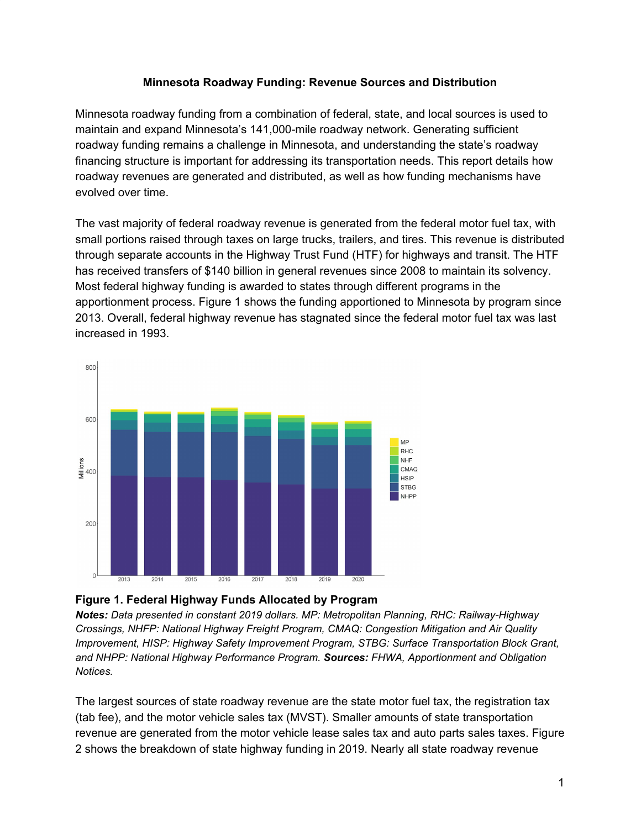## **Minnesota Roadway Funding: Revenue Sources and Distribution**

Minnesota roadway funding from a combination of federal, state, and local sources is used to maintain and expand Minnesota's 141,000-mile roadway network. Generating sufficient roadway funding remains a challenge in Minnesota, and understanding the state's roadway financing structure is important for addressing its transportation needs. This report details how roadway revenues are generated and distributed, as well as how funding mechanisms have evolved over time.

The vast majority of federal roadway revenue is generated from the federal motor fuel tax, with small portions raised through taxes on large trucks, trailers, and tires. This revenue is distributed through separate accounts in the Highway Trust Fund (HTF) for highways and transit. The HTF has received transfers of \$140 billion in general revenues since 2008 to maintain its solvency. Most federal highway funding is awarded to states through different programs in the apportionment process. Figure 1 shows the funding apportioned to Minnesota by program since 2013. Overall, federal highway revenue has stagnated since the federal motor fuel tax was last increased in 1993.



## **Figure 1. Federal Highway Funds Allocated by Program**

*Notes: Data presented in constant 2019 dollars. MP: Metropolitan Planning, RHC: Railway-Highway Crossings, NHFP: National Highway Freight Program, CMAQ: Congestion Mitigation and Air Quality Improvement, HISP: Highway Safety Improvement Program, STBG: Surface Transportation Block Grant, and NHPP: National Highway Performance Program. Sources: FHWA, Apportionment and Obligation Notices.*

The largest sources of state roadway revenue are the state motor fuel tax, the registration tax (tab fee), and the motor vehicle sales tax (MVST). Smaller amounts of state transportation revenue are generated from the motor vehicle lease sales tax and auto parts sales taxes. Figure 2 shows the breakdown of state highway funding in 2019. Nearly all state roadway revenue